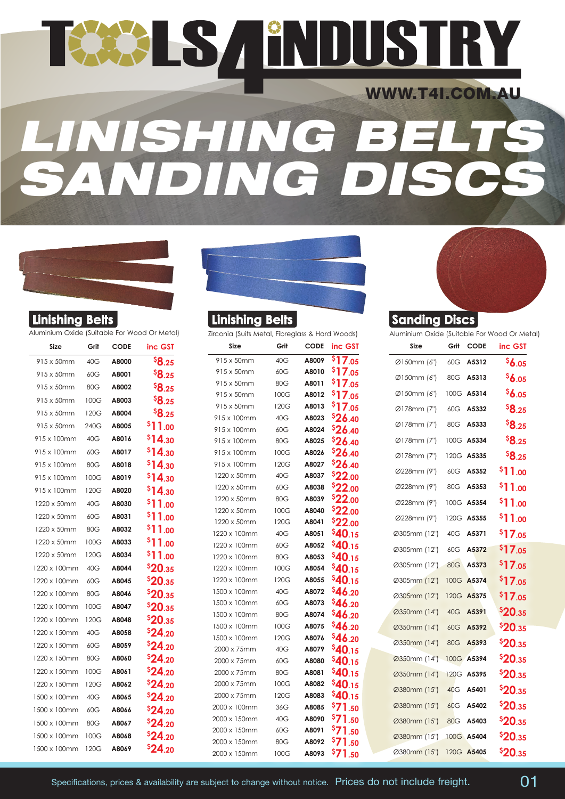## TEES A ENDUSTR WWW.T4I.COM.AU *LINISHING BELTS SANDING DISCS*



| Aluminium Oxide (Suitable For Wood Or Meto |  |  |  |
|--------------------------------------------|--|--|--|
|                                            |  |  |  |

| Size         | Grit | <b>CODE</b> | inc GST       |
|--------------|------|-------------|---------------|
| 915 x 50mm   | 40G  | A8000       | <b>\$8.25</b> |
| 915 x 50mm   | 60G  | A8001       | \$8.25        |
| 915 x 50mm   | 80G  | A8002       | <b>\$8.25</b> |
| 915 x 50mm   | 100G | A8003       | \$8.25        |
| 915 x 50mm   | 120G | A8004       | <b>\$8.25</b> |
| 915 x 50mm   | 240G | A8005       | \$11.00       |
| 915 x 100mm  | 40G  | A8016       | \$14.30       |
| 915 x 100mm  | 60G  | A8017       | \$14.30       |
| 915 x 100mm  | 80G  | A8018       | \$14.30       |
| 915 x 100mm  | 100G | A8019       | \$14.30       |
| 915 x 100mm  | 120G | A8020       | \$14.30       |
| 1220 x 50mm  | 40G  | A8030       | \$11.00       |
| 1220 x 50mm  | 60G  | A8031       | \$11.00       |
| 1220 x 50mm  | 80G  | A8032       | \$11.00       |
| 1220 x 50mm  | 100G | A8033       | \$11.00       |
| 1220 x 50mm  | 120G | A8034       | \$11.00       |
| 1220 x 100mm | 40G  | A8044       | \$20.35       |
| 1220 x 100mm | 60G  | A8045       | \$20.35       |
| 1220 x 100mm | 80G  | A8046       | \$20.35       |
| 1220 x 100mm | 100G | A8047       | \$20.35       |
| 1220 x 100mm | 120G | A8048       | \$20.35       |
| 1220 x 150mm | 40G  | A8058       | \$24.20       |
| 1220 x 150mm | 60G  | A8059       | \$24.20       |
| 1220 x 150mm | 80G  | A8060       | \$24.20       |
| 1220 x 150mm | 100G | A8061       | \$24.20       |
| 1220 x 150mm | 120G | A8062       | \$24.20       |
| 1500 x 100mm | 40G  | A8065       | \$24.20       |
| 1500 x 100mm | 60G  | A8066       | \$24.20       |
| 1500 x 100mm | 80G  | A8067       | \$24.20       |
| 1500 x 100mm | 100G | A8068       | \$24.20       |
| 1500 x 100mm | 120G | A8069       | \$24.20       |

| II<br>. 10 P<br>TIETH. |  |
|------------------------|--|
|                        |  |
|                        |  |

| Aluminium Oxide (Suitable For Wood Or Metal) |      |             |              | Zirconia (Suits Metal, Fibreglass & Hard Woods) |              |                |                                 |
|----------------------------------------------|------|-------------|--------------|-------------------------------------------------|--------------|----------------|---------------------------------|
| Size                                         | Grit | <b>CODE</b> | inc GST      | Size                                            | Grit         | <b>CODE</b>    | inc GST                         |
| 915 x 50mm                                   | 40G  | A8000       | ${}^{5}8.25$ | 915 x 50mm                                      | 40G          | A8009          | $\overline{\overline{5}}$ 17.05 |
| 915 x 50mm                                   | 60G  | A8001       | \$8.25       | 915 x 50mm                                      | 60G          | A8010          | \$17.05                         |
| 915 x 50mm                                   | 80G  | A8002       | \$8.25       | 915 x 50mm                                      | 80G          | A8011          | \$17.05                         |
| 915 x 50mm                                   | 100G | A8003       | \$8.25       | 915 x 50mm                                      | 100G         | A8012          | \$17.05                         |
| 915 x 50mm                                   | 120G | A8004       | \$8.25       | 915 x 50mm                                      | 120G         | A8013          | \$17.05                         |
| 915 x 50mm                                   | 240G | A8005       | \$11.00      | 915 x 100mm                                     | 40G          | A8023          | \$26.40                         |
| 915 x 100mm                                  | 40G  | A8016       | \$14.30      | 915 x 100mm                                     | 60G          | A8024          | \$26.40                         |
| 915 x 100mm                                  | 60G  | A8017       | \$14.30      | 915 x 100mm<br>915 x 100mm                      | 80G          | A8025<br>A8026 | \$26.40                         |
| 915 x 100mm                                  | 80G  | A8018       | \$14.30      | 915 x 100mm                                     | 100G<br>120G | A8027          | \$26.40<br>\$26.40              |
| 915 x 100mm                                  | 100G | A8019       | \$14.30      | 1220 x 50mm                                     | 40G          | A8037          | \$22.00                         |
|                                              |      |             |              | 1220 x 50mm                                     | 60G          | A8038          | \$22.00                         |
| 915 x 100mm                                  | 120G | A8020       | \$14.30      | 1220 x 50mm                                     | 80G          | A8039          | \$22.00                         |
| 1220 x 50mm                                  | 40G  | A8030       | \$11.00      | 1220 x 50mm                                     | 100G         | A8040          | \$22.00                         |
| 1220 x 50mm                                  | 60G  | A8031       | \$11.00      | 1220 x 50mm                                     | 120G         | A8041          | \$22.00                         |
| 1220 x 50mm                                  | 80G  | A8032       | \$11.00      | 1220 x 100mm                                    | 40G          | A8051          | \$40.15                         |
| 1220 x 50mm                                  | 100G | A8033       | \$11.00      | 1220 x 100mm                                    | 60G          | A8052          | \$40.15                         |
| 1220 x 50mm                                  | 120G | A8034       | \$11.00      | 1220 x 100mm                                    | 80G          | A8053          | \$40.15                         |
| 1220 x 100mm                                 | 40G  | A8044       | \$20.35      | 1220 x 100mm                                    | 100G         | A8054          | \$40.15                         |
| 1220 x 100mm                                 | 60G  | A8045       | \$20.35      | 1220 x 100mm                                    | 120G         | A8055          | \$40.15                         |
| 1220 x 100mm                                 | 80G  | A8046       | \$20.35      | 1500 x 100mm                                    | 40G          | A8072          | \$46.20                         |
| 1220 x 100mm                                 | 100G | A8047       | \$20.35      | 1500 x 100mm                                    | 60G          | A8073          | \$46.20                         |
| 1220 x 100mm                                 | 120G | A8048       | \$20.35      | 1500 x 100mm                                    | 80G          | A8074          | <b>546.20</b>                   |
| 1220 x 150mm                                 | 40G  | A8058       | \$24.20      | 1500 x 100mm                                    | 100G         | A8075          | <b>\$46.20</b>                  |
| 1220 x 150mm                                 | 60G  | A8059       | \$24.20      | 1500 x 100mm<br>2000 x 75mm                     | 120G<br>40G  | A8076<br>A8079 | \$46.20                         |
| 1220 x 150mm                                 | 80G  | A8060       | \$24.20      | 2000 x 75mm                                     | 60G          | A8080          | \$40.15<br>\$40.15              |
| 1220 x 150mm                                 | 100G | A8061       | \$24.20      | 2000 x 75mm                                     | 80G          | A8081          | \$40.15                         |
| 1220 x 150mm                                 | 120G | A8062       | \$24.20      | 2000 x 75mm                                     | 100G         | A8082          | \$40.15                         |
| 1500 x 100mm                                 | 40G  | A8065       | \$24.20      | 2000 x 75mm                                     | 120G         | A8083          | \$40.15                         |
| 1500 x 100mm                                 | 60G  | A8066       | \$24.20      | 2000 x 100mm                                    | 36G          | A8085          | \$71.50                         |
| 1500 x 100mm                                 | 80G  | A8067       | \$24.20      | 2000 x 150mm                                    | 40G          | A8090          | \$71.50                         |
|                                              |      |             |              | 2000 x 150mm                                    | 60G          | A8091          | \$71.50                         |
| 1500 x 100mm                                 | 100G | A8068       | \$24.20      | 2000 x 150mm                                    | 80G          | A8092          | \$71.50                         |
| 1500 x 100mm                                 | 120G | A8069       | \$24.20      | 2000 x 150mm                                    | 100G         | A8093          | $571$ so                        |



| Aluminium Oxide (Suitable For Wood Or Metal)<br>Size | Grit | <b>CODE</b> | inc GST             |
|------------------------------------------------------|------|-------------|---------------------|
| Ø150mm (6")                                          | 60G  | A5312       | \$6.05              |
| Ø150mm (6")                                          | 80G  | A5313       | \$6.05              |
| Ø150mm (6")                                          |      | 100G A5314  | \$6.05              |
| Ø178mm (7")                                          | 60G  | A5332       | <b>\$8.25</b>       |
| Ø178mm (7")                                          | 80G  | A5333       | <b>\$8.25</b>       |
| Ø178mm (7")                                          |      | 100G A5334  | <b>\$8.25</b>       |
| Ø178mm (7")                                          | 120G | A5335       | <b>\$8.25</b>       |
| Ø228mm (9")                                          | 60G  | A5352       | \$11.00             |
| Ø228mm (9")                                          | 80G  | A5353       | <sup>\$</sup> 11.00 |
| Ø228mm (9")                                          | 100G | A5354       | \$11.00             |
| Ø228mm (9")                                          | 120G | A5355       | \$11.00             |
| Ø305mm (12")                                         | 40G  | A5371       | \$17.05             |
| Ø305mm (12")                                         | 60G  | A5372       | \$17.05             |
| Ø305mm (12")                                         | 80G  | A5373       | \$17.05             |
| Ø305mm (12")                                         |      | 100G A5374  | \$17.05             |
| Ø305mm (12")                                         | 120G | A5375       | \$17.05             |
| Ø350mm (14")                                         | 40G  | A5391       | \$20.35             |
| Ø350mm (14")                                         | 60G  | A5392       | <b>\$20.35</b>      |
| Ø350mm (14")                                         | 80G  | A5393       | \$20.35             |
| Ø350mm (14")                                         | 100G | A5394       | \$20.35             |
| Ø350mm (14")                                         |      | 120G A5395  | \$20.35             |
| Ø380mm (15")                                         | 40G  | A5401       | \$20.35             |
| Ø380mm (15")                                         | 60G  | A5402       | \$20.35             |
| Ø380mm (15")                                         | 80G  | A5403       | \$20.35             |
| Ø380mm (15")                                         |      | 100G A5404  | \$20.35             |
| Ø380mm (15")                                         |      | 120G A5405  | \$20.35             |